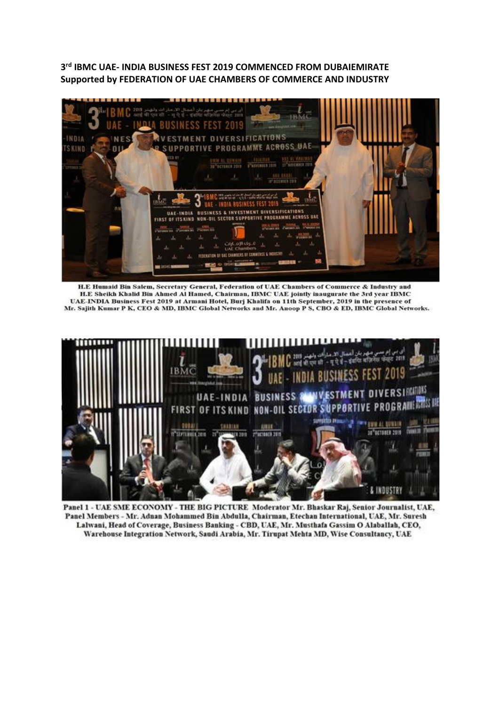**3rd IBMC UAE- INDIA BUSINESS FEST 2019 COMMENCED FROM DUBAIEMIRATE Supported by FEDERATION OF UAE CHAMBERS OF COMMERCE AND INDUSTRY**



H.E Humaid Bin Salem, Secretary General, Federation of UAE Chambers of Commerce & Industry and H.E Sheikh Khalid Bin Ahmed Al Hamed, Chairman, IBMC UAE jointly inaugurate the 3rd year IBMC UAE-INDIA Business Fest 2019 at Armani Hotel, Burj Khalifa on 11th September, 2019 in the presence of Mr. Sajith Kumar P K, CEO & MD, IBMC Global Networks and Mr. Anoop P S, CBO & ED, IBMC Global Networks.



Panel 1 - UAE SME ECONOMY - THE BIG PICTURE Moderator Mr. Bhaskar Raj, Senior Journalist, UAE, Pauel Members - Mr. Adnan Mohammed Bin Abdulla, Chairman, Etechan International, UAE, Mr. Suresh Lalwani, Head of Coverage, Business Banking - CBD, UAE, Mr. Musthafa Gassim O Alaballah, CEO, Warehouse Integration Network, Saudi Arabia, Mr. Tirupat Mehta MD, Wise Consultancy, UAE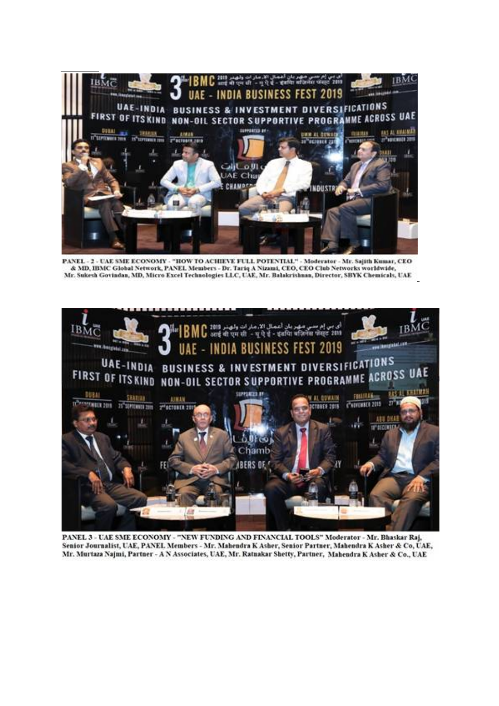

PANEL - 2 - UAE SME ECONOMY - "HOW TO ACHIEVE FULL POTENTIAL" - Moderator - Mr. Sajith Kumar, CEO & MD, IBMC Global Network, PANEL Members - Dr. Tariq A Nizami, CEO, CEO Club Networks worldwide, Mr. Sukesh Govindan, MD, Micro Excel Technologies LLC, UAE, Mr. Balakrishnan, Director, SBYK Chemicals, UAE



PANEL 3 - UAE SME ECONOMY - "NEW FUNDING AND FINANCIAL TOOLS" Moderator - Mr. Bhaskar Raj. Senior Journalist, UAE, PANEL Members - Mr. Mahendra K Asher, Senior Partner, Mahendra K Asher & Co, UAE, Mr. Murtaza Najmi, Partner - A N Associates, UAE, Mr. Ratnakar Shetty, Partner, Mahendra K Asher & Co., UAE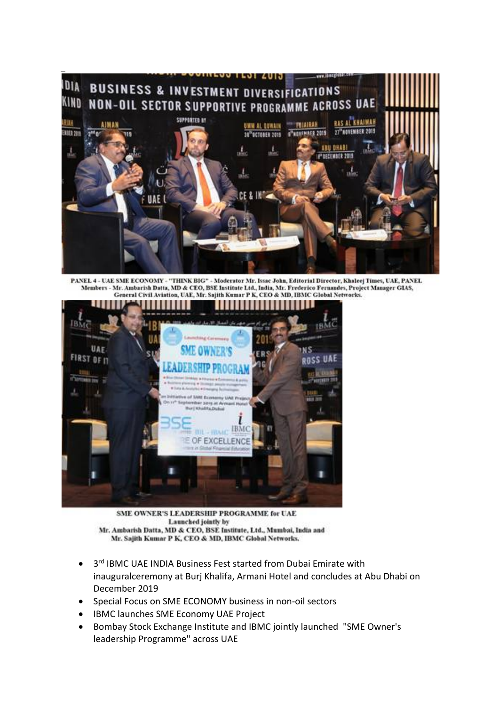

PANEL 4 - UAE SME ECONOMY - "THINK BIG" - Moderator Mr. Issac John, Editorial Director, Khaleej Times, UAE, PANEL Members - Mr. Ambarish Datta, MD & CEO, BSE Institute Ltd., India, Mr. Frederico Fernandes, Project Manager GIAS, General Civil Aviation, UAE, Mr. Sajith Kumar P K, CEO & MD, IBMC Global Networks.



SME OWNER'S LEADERSHIP PROGRAMME for UAE Launched jointly by Mr. Ambarish Datta, MD & CEO, BSE Institute, Ltd., Mumbai, India and Mr. Sajith Kumar P K, CEO & MD, IBMC Global Networks.

- 3<sup>rd</sup> IBMC UAE INDIA Business Fest started from Dubai Emirate with inauguralceremony at Burj Khalifa, Armani Hotel and concludes at Abu Dhabi on December 2019
- Special Focus on SME ECONOMY business in non-oil sectors
- IBMC launches SME Economy UAE Project
- Bombay Stock Exchange Institute and IBMC jointly launched "SME Owner's leadership Programme" across UAE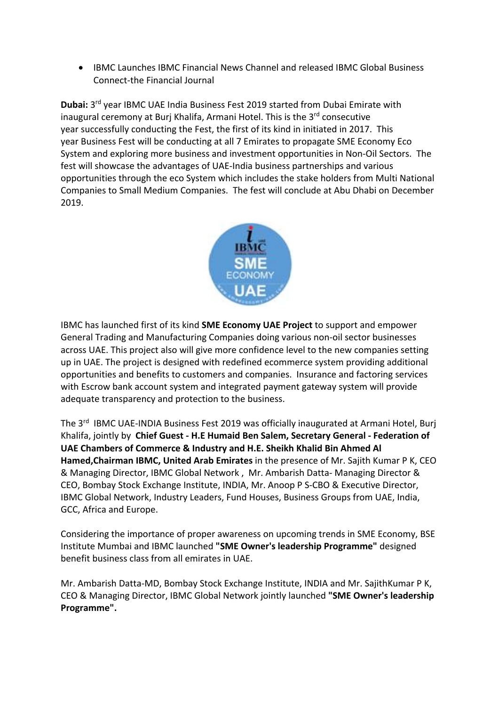• IBMC Launches IBMC Financial News Channel and released IBMC Global Business Connect-the Financial Journal

**Dubai:** 3rd year IBMC UAE India Business Fest 2019 started from Dubai Emirate with inaugural ceremony at Burj Khalifa, Armani Hotel. This is the 3<sup>rd</sup> consecutive year successfully conducting the Fest, the first of its kind in initiated in 2017. This year Business Fest will be conducting at all 7 Emirates to propagate SME Economy Eco System and exploring more business and investment opportunities in Non-Oil Sectors. The fest will showcase the advantages of UAE-India business partnerships and various opportunities through the eco System which includes the stake holders from Multi National Companies to Small Medium Companies. The fest will conclude at Abu Dhabi on December 2019.



IBMC has launched first of its kind **SME Economy UAE Project** to support and empower General Trading and Manufacturing Companies doing various non-oil sector businesses across UAE. This project also will give more confidence level to the new companies setting up in UAE. The project is designed with redefined ecommerce system providing additional opportunities and benefits to customers and companies. Insurance and factoring services with Escrow bank account system and integrated payment gateway system will provide adequate transparency and protection to the business.

The 3<sup>rd</sup> IBMC UAE-INDIA Business Fest 2019 was officially inaugurated at Armani Hotel, Burj Khalifa, jointly by **Chief Guest - H.E Humaid Ben Salem, Secretary General - Federation of UAE Chambers of Commerce & Industry and H.E. Sheikh Khalid Bin Ahmed Al Hamed,Chairman IBMC, United Arab Emirates** in the presence of Mr. Sajith Kumar P K, CEO & Managing Director, IBMC Global Network , Mr. Ambarish Datta- Managing Director & CEO, Bombay Stock Exchange Institute, INDIA, Mr. Anoop P S-CBO & Executive Director, IBMC Global Network, Industry Leaders, Fund Houses, Business Groups from UAE, India, GCC, Africa and Europe.

Considering the importance of proper awareness on upcoming trends in SME Economy, BSE Institute Mumbai and IBMC launched **"SME Owner's leadership Programme"** designed benefit business class from all emirates in UAE.

Mr. Ambarish Datta-MD, Bombay Stock Exchange Institute, INDIA and Mr. SajithKumar P K, CEO & Managing Director, IBMC Global Network jointly launched **"SME Owner's leadership Programme".**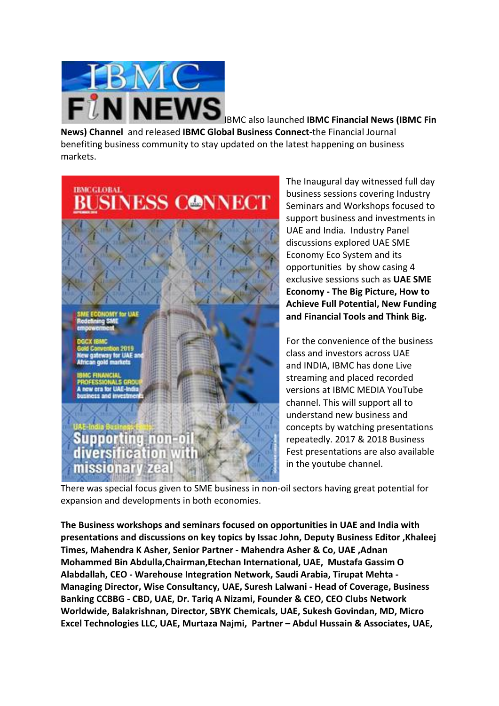

IBMC also launched **IBMC Financial News (IBMC Fin News) Channel** and released **IBMC Global Business Connect**-the Financial Journal benefiting business community to stay updated on the latest happening on business markets.



The Inaugural day witnessed full day business sessions covering Industry Seminars and Workshops focused to support business and investments in UAE and India. Industry Panel discussions explored UAE SME Economy Eco System and its opportunities by show casing 4 exclusive sessions such as **UAE SME Economy - The Big Picture, How to Achieve Full Potential, New Funding and Financial Tools and Think Big.**

For the convenience of the business class and investors across UAE and INDIA, IBMC has done Live streaming and placed recorded versions at IBMC MEDIA YouTube channel. This will support all to understand new business and concepts by watching presentations repeatedly. 2017 & 2018 Business Fest presentations are also available in the youtube channel.

There was special focus given to SME business in non-oil sectors having great potential for expansion and developments in both economies.

**The Business workshops and seminars focused on opportunities in UAE and India with presentations and discussions on key topics by Issac John, Deputy Business Editor ,Khaleej Times, Mahendra K Asher, Senior Partner - Mahendra Asher & Co, UAE ,Adnan Mohammed Bin Abdulla,Chairman,Etechan International, UAE, Mustafa Gassim O Alabdallah, CEO - Warehouse Integration Network, Saudi Arabia, Tirupat Mehta - Managing Director, Wise Consultancy, UAE, Suresh Lalwani - Head of Coverage, Business Banking CCBBG - CBD, UAE, Dr. Tariq A Nizami, Founder & CEO, CEO Clubs Network Worldwide, Balakrishnan, Director, SBYK Chemicals, UAE, Sukesh Govindan, MD, Micro Excel Technologies LLC, UAE, Murtaza Najmi, Partner – Abdul Hussain & Associates, UAE,**